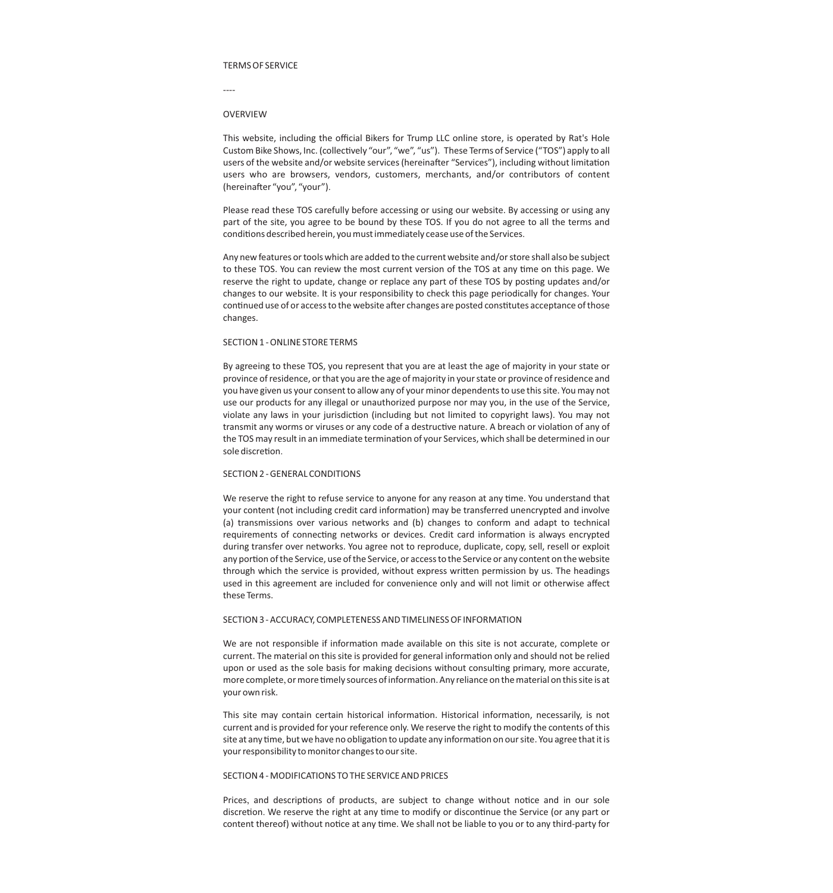#### TERMS OF SERVICE

----

# OVERVIEW

This website, including the official Bikers for Trump LLC online store, is operated by Rat's Hole Custom Bike Shows, Inc. (collectively "our", "we", "us"). These Terms of Service ("TOS") apply to all users of the website and/or website services (hereinafter "Services"), including without limitation users who are browsers, vendors, customers, merchants, and/or contributors of content (hereinafter "you", "your").

Please read these TOS carefully before accessing or using our website. By accessing or using any part of the site, you agree to be bound by these TOS. If you do not agree to all the terms and conditions described herein, you must immediately cease use of the Services.

Any new features or tools which are added to the current website and/or store shall also be subject to these TOS. You can review the most current version of the TOS at any time on this page. We reserve the right to update, change or replace any part of these TOS by posting updates and/or changes to our website. It is your responsibility to check this page periodically for changes. Your continued use of or access to the website after changes are posted constitutes acceptance of those changes.

## SECTION 1 - ONLINE STORE TERMS

By agreeing to these TOS, you represent that you are at least the age of majority in your state or province of residence, or that you are the age of majority in your state or province of residence and you have given us your consent to allow any of your minor dependents to use this site. You may not use our products for any illegal or unauthorized purpose nor may you, in the use of the Service, violate any laws in your jurisdiction (including but not limited to copyright laws). You may not transmit any worms or viruses or any code of a destructive nature. A breach or violation of any of the TOS may result in an immediate termination of your Services, which shall be determined in our sole discretion.

# SECTION 2 - GENERAL CONDITIONS

We reserve the right to refuse service to anyone for any reason at any time. You understand that your content (not including credit card information) may be transferred unencrypted and involve (a) transmissions over various networks and (b) changes to conform and adapt to technical requirements of connecting networks or devices. Credit card information is always encrypted during transfer over networks. You agree not to reproduce, duplicate, copy, sell, resell or exploit any portion of the Service, use of the Service, or access to the Service or any content on the website through which the service is provided, without express written permission by us. The headings used in this agreement are included for convenience only and will not limit or otherwise affect these Terms.

## SECTION 3 - ACCURACY, COMPLETENESS AND TIMELINESS OF INFORMATION

We are not responsible if information made available on this site is not accurate, complete or current. The material on this site is provided for general information only and should not be relied upon or used as the sole basis for making decisions without consulting primary, more accurate, more complete, or more timely sources of information. Any reliance on the material on this site is at your own risk.

This site may contain certain historical information. Historical information, necessarily, is not current and is provided for your reference only. We reserve the right to modify the contents of this site at any time, but we have no obligation to update any information on our site. You agree that it is your responsibility to monitor changes to our site.

# SECTION 4 - MODIFICATIONS TO THE SERVICE AND PRICES

Prices, and descriptions of products, are subject to change without notice and in our sole discretion. We reserve the right at any time to modify or discontinue the Service (or any part or content thereof) without notice at any time. We shall not be liable to you or to any third-party for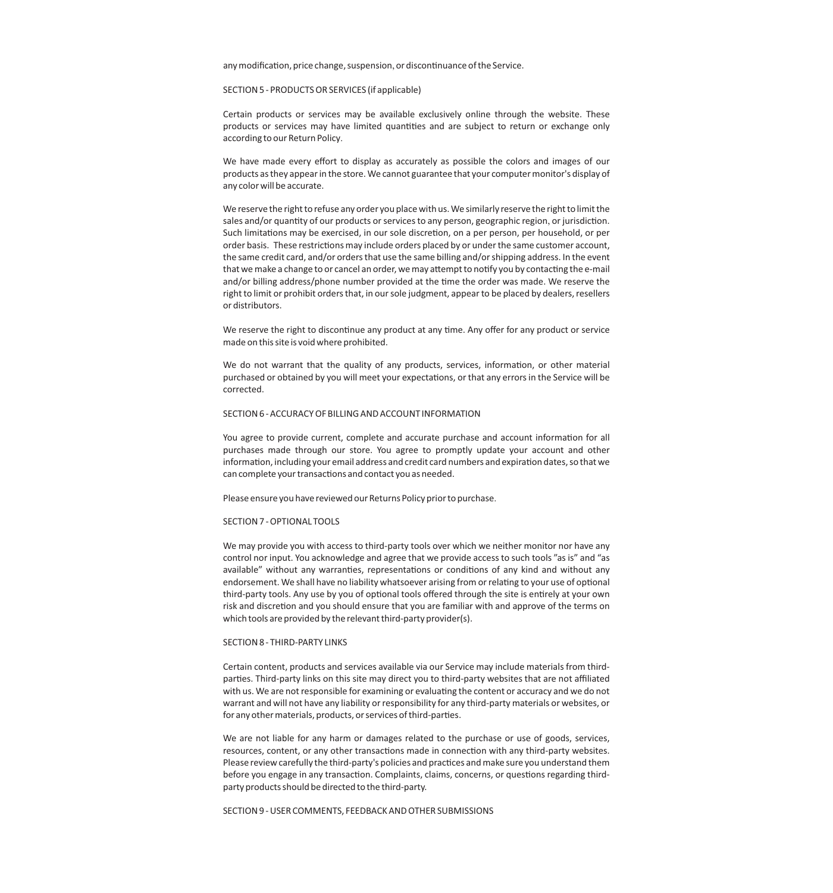any modification, price change, suspension, or discontinuance of the Service.

SECTION 5 - PRODUCTS OR SERVICES (if applicable)

Certain products or services may be available exclusively online through the website. These products or services may have limited quantities and are subject to return or exchange only according to our Return Policy.

We have made every effort to display as accurately as possible the colors and images of our products as they appear in the store. We cannot guarantee that your computer monitor's display of any color will be accurate.

We reserve the right to refuse any order you place with us. We similarly reserve the right to limit the sales and/or quantity of our products or services to any person, geographic region, or jurisdiction. Such limitations may be exercised, in our sole discretion, on a per person, per household, or per order basis. These restrictions may include orders placed by or under the same customer account, the same credit card, and/or orders that use the same billing and/or shipping address. In the event that we make a change to or cancel an order, we may attempt to notify you by contacting the e-mail and/or billing address/phone number provided at the time the order was made. We reserve the right to limit or prohibit orders that, in our sole judgment, appear to be placed by dealers, resellers or distributors.

We reserve the right to discontinue any product at any time. Any offer for any product or service made on this site is void where prohibited.

We do not warrant that the quality of any products, services, information, or other material purchased or obtained by you will meet your expectations, or that any errors in the Service will be corrected.

## SECTION 6 - ACCURACY OF BILLING AND ACCOUNT INFORMATION

You agree to provide current, complete and accurate purchase and account information for all purchases made through our store. You agree to promptly update your account and other information, including your email address and credit card numbers and expiration dates, so that we can complete your transactions and contact you as needed.

Please ensure you have reviewed our Returns Policy prior to purchase.

#### SECTION 7 - OPTIONAL TOOLS

We may provide you with access to third-party tools over which we neither monitor nor have any control nor input. You acknowledge and agree that we provide access to such tools "as is" and "as available" without any warranties, representations or conditions of any kind and without any endorsement. We shall have no liability whatsoever arising from or relating to your use of optional third-party tools. Any use by you of optional tools offered through the site is entirely at your own risk and discretion and you should ensure that you are familiar with and approve of the terms on which tools are provided by the relevant third-party provider(s).

## SECTION 8 - THIRD-PARTY LINKS

Certain content, products and services available via our Service may include materials from thirdparties. Third-party links on this site may direct you to third-party websites that are not affiliated with us. We are not responsible for examining or evaluating the content or accuracy and we do not warrant and will not have any liability or responsibility for any third-party materials or websites, or for any other materials, products, or services of third-parties.

We are not liable for any harm or damages related to the purchase or use of goods, services, resources, content, or any other transactions made in connection with any third-party websites. Please review carefully the third-party's policies and practices and make sure you understand them before you engage in any transaction. Complaints, claims, concerns, or questions regarding thirdparty products should be directed to the third-party.

## SECTION 9 - USER COMMENTS, FEEDBACK AND OTHER SUBMISSIONS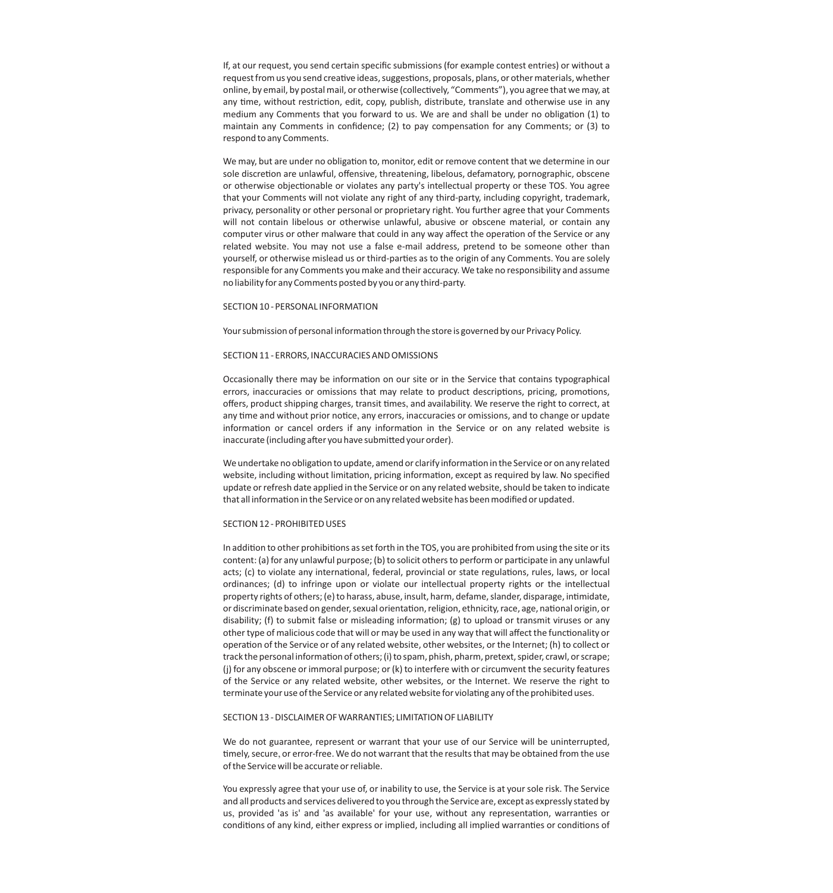If, at our request, you send certain specific submissions (for example contest entries) or without a request from us you send creative ideas, suggestions, proposals, plans, or other materials, whether online, by email, by postal mail, or otherwise (collectively, "Comments"), you agree that we may, at any time, without restriction, edit, copy, publish, distribute, translate and otherwise use in any medium any Comments that you forward to us. We are and shall be under no obligation (1) to maintain any Comments in confidence;  $(2)$  to pay compensation for any Comments; or  $(3)$  to respond to any Comments.

We may, but are under no obligation to, monitor, edit or remove content that we determine in our sole discretion are unlawful, offensive, threatening, libelous, defamatory, pornographic, obscene or otherwise objectionable or violates any party's intellectual property or these TOS. You agree that your Comments will not violate any right of any third-party, including copyright, trademark, privacy, personality or other personal or proprietary right. You further agree that your Comments will not contain libelous or otherwise unlawful, abusive or obscene material, or contain any computer virus or other malware that could in any way affect the operation of the Service or any related website. You may not use a false e-mail address, pretend to be someone other than yourself, or otherwise mislead us or third-parties as to the origin of any Comments. You are solely responsible for any Comments you make and their accuracy. We take no responsibility and assume no liability for any Comments posted by you or any third-party.

## SECTION 10 - PERSONAL INFORMATION

Your submission of personal information through the store is governed by our Privacy Policy.

#### SECTION 11 - ERRORS, INACCURACIES AND OMISSIONS

Occasionally there may be information on our site or in the Service that contains typographical errors, inaccuracies or omissions that may relate to product descriptions, pricing, promotions, offers, product shipping charges, transit mes, and availability. We reserve the right to correct, at any time and without prior notice, any errors, inaccuracies or omissions, and to change or update information or cancel orders if any information in the Service or on any related website is inaccurate (including after you have submitted your order).

We undertake no obligation to update, amend or clarify information in the Service or on any related website, including without limitation, pricing information, except as required by law. No specified update or refresh date applied in the Service or on any related website, should be taken to indicate that all information in the Service or on any related website has been modified or updated.

#### SECTION 12 - PROHIBITED USES

In addition to other prohibitions as set forth in the TOS, you are prohibited from using the site or its content: (a) for any unlawful purpose; (b) to solicit others to perform or parcipate in any unlawful acts; (c) to violate any international, federal, provincial or state regulations, rules, laws, or local ordinances; (d) to infringe upon or violate our intellectual property rights or the intellectual property rights of others; (e) to harass, abuse, insult, harm, defame, slander, disparage, inmidate, or discriminate based on gender, sexual orientation, religion, ethnicity, race, age, national origin, or disability; (f) to submit false or misleading information; (g) to upload or transmit viruses or any other type of malicious code that will or may be used in any way that will affect the functionality or operation of the Service or of any related website, other websites, or the Internet; (h) to collect or track the personal information of others; (i) to spam, phish, pharm, pretext, spider, crawl, or scrape; (j) for any obscene or immoral purpose; or (k) to interfere with or circumvent the security features of the Service or any related website, other websites, or the Internet. We reserve the right to terminate your use of the Service or any related website for violating any of the prohibited uses.

### SECTION 13 - DISCLAIMER OF WARRANTIES; LIMITATION OF LIABILITY

We do not guarantee, represent or warrant that your use of our Service will be uninterrupted, mely, secure, or error-free. We do not warrant that the results that may be obtained from the use of the Service will be accurate or reliable.

You expressly agree that your use of, or inability to use, the Service is at your sole risk. The Service and all products and services delivered to you through the Service are, except as expressly stated by us, provided 'as is' and 'as available' for your use, without any representation, warranties or conditions of any kind, either express or implied, including all implied warranties or conditions of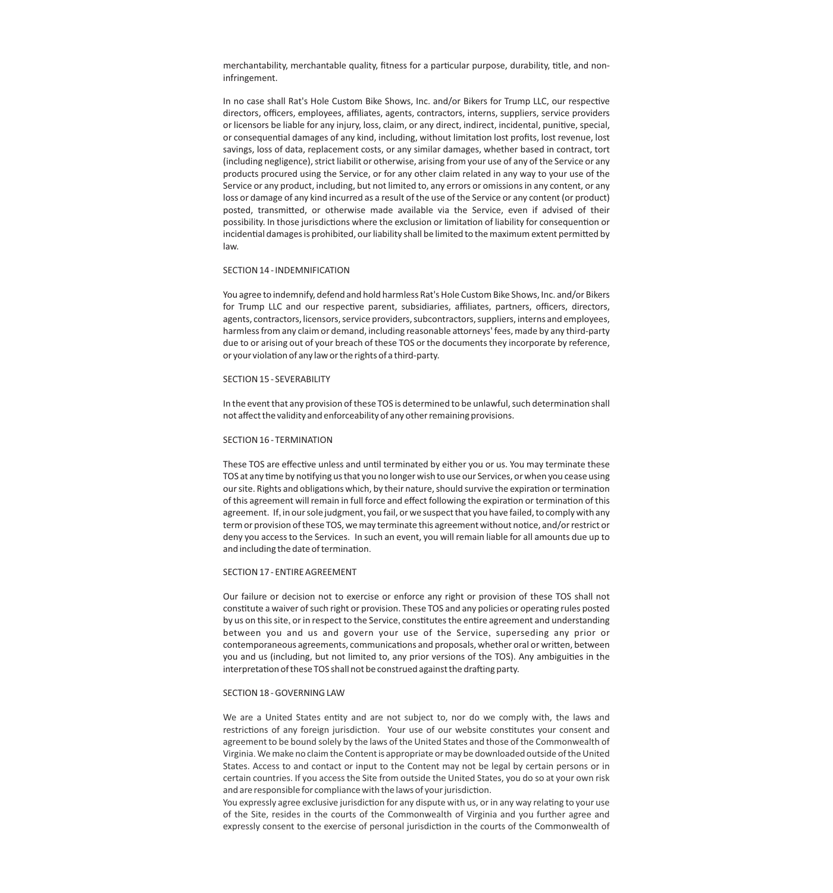merchantability, merchantable quality, fitness for a particular purpose, durability, title, and noninfringement.

In no case shall Rat's Hole Custom Bike Shows, Inc. and/or Bikers for Trump LLC, our respective directors, officers, employees, affiliates, agents, contractors, interns, suppliers, service providers or licensors be liable for any injury, loss, claim, or any direct, indirect, incidental, punitive, special, or consequential damages of any kind, including, without limitation lost profits, lost revenue, lost savings, loss of data, replacement costs, or any similar damages, whether based in contract, tort (including negligence), strict liabilit or otherwise, arising from your use of any of the Service or any products procured using the Service, or for any other claim related in any way to your use of the Service or any product, including, but not limited to, any errors or omissions in any content, or any loss or damage of any kind incurred as a result of the use of the Service or any content (or product) posted, transmitted, or otherwise made available via the Service, even if advised of their possibility. In those jurisdictions where the exclusion or limitation of liability for consequention or incidential damages is prohibited, our liability shall be limited to the maximum extent permitted by law.

## SECTION 14 - INDEMNIFICATION

You agree to indemnify, defend and hold harmless Rat's Hole Custom Bike Shows, Inc. and/or Bikers for Trump LLC and our respective parent, subsidiaries, affiliates, partners, officers, directors, agents, contractors, licensors, service providers, subcontractors, suppliers, interns and employees, harmless from any claim or demand, including reasonable attorneys' fees, made by any third-party due to or arising out of your breach of these TOS or the documents they incorporate by reference, or your violation of any law or the rights of a third-party.

# SECTION 15 - SEVERABILITY

In the event that any provision of these TOS is determined to be unlawful, such determination shall not affect the validity and enforceability of any other remaining provisions.

# SECTION 16 - TERMINATION

These TOS are effective unless and until terminated by either you or us. You may terminate these TOS at any time by notifying us that you no longer wish to use our Services, or when you cease using our site. Rights and obligations which, by their nature, should survive the expiration or termination of this agreement will remain in full force and effect following the expiration or termination of this agreement. If, in our sole judgment, you fail, or we suspect that you have failed, to comply with any term or provision of these TOS, we may terminate this agreement without notice, and/or restrict or deny you access to the Services. In such an event, you will remain liable for all amounts due up to and including the date of termination.

## SECTION 17 - ENTIRE AGREEMENT

Our failure or decision not to exercise or enforce any right or provision of these TOS shall not constitute a waiver of such right or provision. These TOS and any policies or operating rules posted by us on this site, or in respect to the Service, constitutes the entire agreement and understanding between you and us and govern your use of the Service, superseding any prior or contemporaneous agreements, communications and proposals, whether oral or written, between you and us (including, but not limited to, any prior versions of the TOS). Any ambiguities in the interpretation of these TOS shall not be construed against the drafting party.

# SECTION 18 - GOVERNING LAW

We are a United States entity and are not subject to, nor do we comply with, the laws and restrictions of any foreign jurisdiction. Your use of our website constitutes your consent and agreement to be bound solely by the laws of the United States and those of the Commonwealth of Virginia.We make no claim the Content is appropriate or may be downloaded outside of the United States. Access to and contact or input to the Content may not be legal by certain persons or in certain countries. If you access the Site from outside the United States, you do so at your own risk and are responsible for compliance with the laws of your jurisdiction.

You expressly agree exclusive jurisdiction for any dispute with us, or in any way relating to your use of the Site, resides in the courts of the Commonwealth of Virginia and you further agree and expressly consent to the exercise of personal jurisdiction in the courts of the Commonwealth of